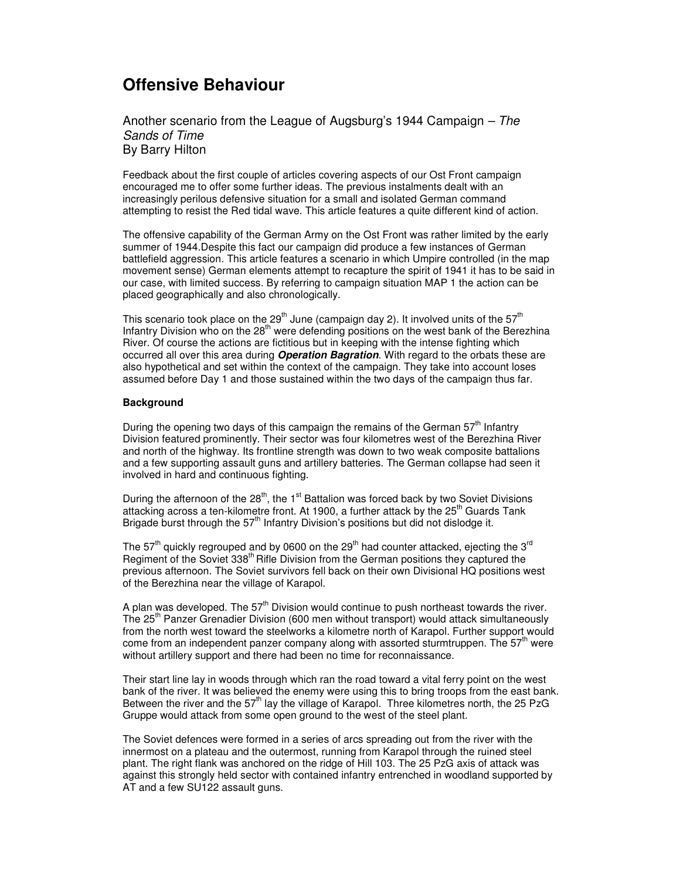# **Offensive Behaviour**

Another scenario from the League of Augsburg's 1944 Campaign *– The Sands of Time* By Barry Hilton

Feedback about the first couple of articles covering aspects of our Ost Front campaign encouraged me to offer some further ideas. The previous instalments dealt with an increasingly perilous defensive situation for a small and isolated German command attempting to resist the Red tidal wave. This article features a quite different kind of action.

The offensive capability of the German Army on the Ost Front was rather limited by the early summer of 1944.Despite this fact our campaign did produce a few instances of German battlefield aggression. This article features a scenario in which Umpire controlled (in the map movement sense) German elements attempt to recapture the spirit of 1941 it has to be said in our case, with limited success. By referring to campaign situation MAP 1 the action can be placed geographically and also chronologically.

This scenario took place on the 29<sup>th</sup> June (campaign day 2). It involved units of the 57<sup>th</sup> Infantry Division who on the 28<sup>th</sup> were defending positions on the west bank of the Berezhina River. Of course the actions are fictitious but in keeping with the intense fighting which occurred all over this area during *Operation Bagration*. With regard to the orbats these are also hypothetical and set within the context of the campaign. They take into account loses assumed before Day 1 and those sustained within the two days of the campaign thus far.

# **Background**

During the opening two days of this campaign the remains of the German  $57<sup>th</sup>$  Infantry Division featured prominently. Their sector was four kilometres west of the Berezhina River and north of the highway. Its frontline strength was down to two weak composite battalions and a few supporting assault guns and artillery batteries. The German collapse had seen it involved in hard and continuous fighting.

During the afternoon of the 28<sup>th</sup>, the 1<sup>st</sup> Battalion was forced back by two Soviet Divisions attacking across a ten-kilometre front. At 1900, a further attack by the 25<sup>th</sup> Guards Tank Brigade burst through the  $57<sup>th</sup>$  Infantry Division's positions but did not dislodge it.

The 57<sup>th</sup> quickly regrouped and by 0600 on the 29<sup>th</sup> had counter attacked, ejecting the 3<sup>rd</sup> Regiment of the Soviet 338<sup>th</sup> Rifle Division from the German positions they captured the previous afternoon. The Soviet survivors fell back on their own Divisional HQ positions west of the Berezhina near the village of Karapol.

A plan was developed. The 57<sup>th</sup> Division would continue to push northeast towards the river. The 25<sup>th</sup> Panzer Grenadier Division (600 men without transport) would attack simultaneously from the north west toward the steelworks a kilometre north of Karapol. Further support would come from an independent panzer company along with assorted sturmtruppen. The  $57<sup>th</sup>$  were without artillery support and there had been no time for reconnaissance.

Their start line lay in woods through which ran the road toward a vital ferry point on the west bank of the river. It was believed the enemy were using this to bring troops from the east bank. Between the river and the 57<sup>th</sup> lay the village of Karapol. Three kilometres north, the 25 PzG Gruppe would attack from some open ground to the west of the steel plant.

The Soviet defences were formed in a series of arcs spreading out from the river with the innermost on a plateau and the outermost, running from Karapol through the ruined steel plant. The right flank was anchored on the ridge of Hill 103. The 25 PzG axis of attack was against this strongly held sector with contained infantry entrenched in woodland supported by AT and a few SU122 assault guns.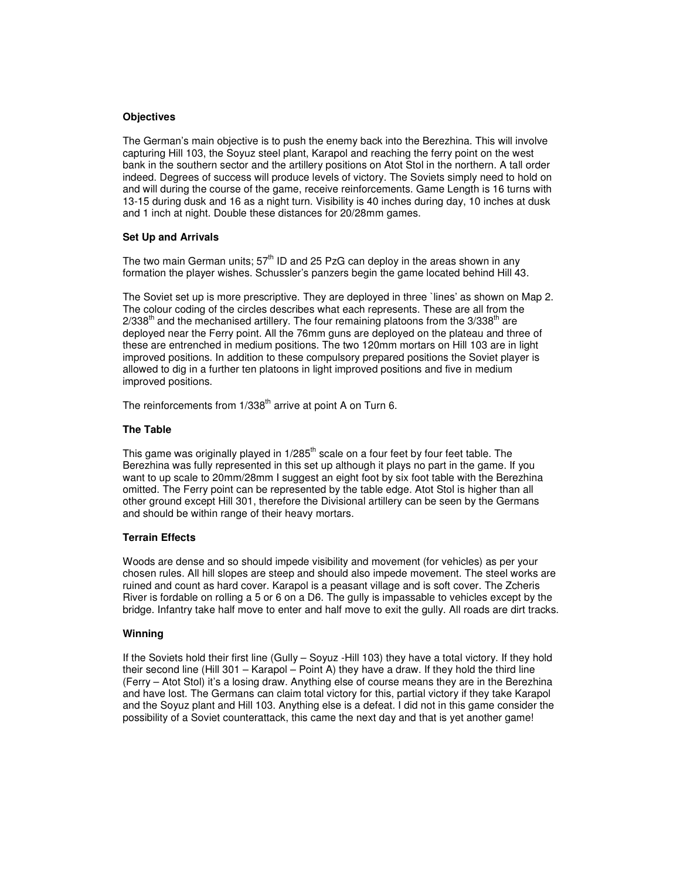## **Objectives**

The German's main objective is to push the enemy back into the Berezhina. This will involve capturing Hill 103, the Soyuz steel plant, Karapol and reaching the ferry point on the west bank in the southern sector and the artillery positions on Atot Stol in the northern. A tall order indeed. Degrees of success will produce levels of victory. The Soviets simply need to hold on and will during the course of the game, receive reinforcements. Game Length is 16 turns with 13-15 during dusk and 16 as a night turn. Visibility is 40 inches during day, 10 inches at dusk and 1 inch at night. Double these distances for 20/28mm games.

# **Set Up and Arrivals**

The two main German units;  $57<sup>th</sup>$  ID and 25 PzG can deploy in the areas shown in any formation the player wishes. Schussler's panzers begin the game located behind Hill 43.

The Soviet set up is more prescriptive. They are deployed in three `lines' as shown on Map 2. The colour coding of the circles describes what each represents. These are all from the  $2/338<sup>th</sup>$  and the mechanised artillery. The four remaining platoons from the  $3/338<sup>th</sup>$  are deployed near the Ferry point. All the 76mm guns are deployed on the plateau and three of these are entrenched in medium positions. The two 120mm mortars on Hill 103 are in light improved positions. In addition to these compulsory prepared positions the Soviet player is allowed to dig in a further ten platoons in light improved positions and five in medium improved positions.

The reinforcements from 1/338<sup>th</sup> arrive at point A on Turn 6.

## **The Table**

This game was originally played in 1/285<sup>th</sup> scale on a four feet by four feet table. The Berezhina was fully represented in this set up although it plays no part in the game. If you want to up scale to 20mm/28mm I suggest an eight foot by six foot table with the Berezhina omitted. The Ferry point can be represented by the table edge. Atot Stol is higher than all other ground except Hill 301, therefore the Divisional artillery can be seen by the Germans and should be within range of their heavy mortars.

# **Terrain Effects**

Woods are dense and so should impede visibility and movement (for vehicles) as per your chosen rules. All hill slopes are steep and should also impede movement. The steel works are ruined and count as hard cover. Karapol is a peasant village and is soft cover. The Zcheris River is fordable on rolling a 5 or 6 on a D6. The gully is impassable to vehicles except by the bridge. Infantry take half move to enter and half move to exit the gully. All roads are dirt tracks.

## **Winning**

If the Soviets hold their first line (Gully – Soyuz -Hill 103) they have a total victory. If they hold their second line (Hill 301 – Karapol – Point A) they have a draw. If they hold the third line (Ferry – Atot Stol) it's a losing draw. Anything else of course means they are in the Berezhina and have lost. The Germans can claim total victory for this, partial victory if they take Karapol and the Soyuz plant and Hill 103. Anything else is a defeat. I did not in this game consider the possibility of a Soviet counterattack, this came the next day and that is yet another game!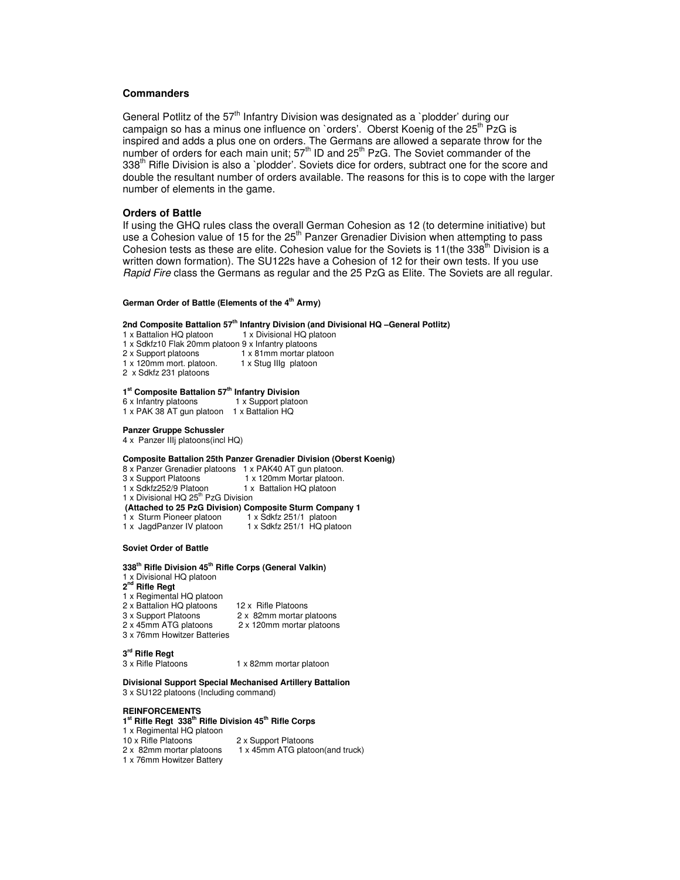## **Commanders**

General Potlitz of the  $57<sup>th</sup>$  Infantry Division was designated as a `plodder' during our campaign so has a minus one influence on `orders'. Oberst Koenig of the 25<sup>th</sup> PzG is inspired and adds a plus one on orders. The Germans are allowed a separate throw for the number of orders for each main unit;  $57<sup>th</sup>$  ID and 25<sup>th</sup> PzG. The Soviet commander of the 338<sup>th</sup> Rifle Division is also a `plodder'. Soviets dice for orders, subtract one for the score and double the resultant number of orders available. The reasons for this is to cope with the larger number of elements in the game.

## **Orders of Battle**

If using the GHQ rules class the overall German Cohesion as 12 (to determine initiative) but use a Cohesion value of 15 for the 25<sup>th</sup> Panzer Grenadier Division when attempting to pass Cohesion tests as these are elite. Cohesion value for the Soviets is 11(the 338<sup>th</sup> Division is a written down formation). The SU122s have a Cohesion of 12 for their own tests. If you use *Rapid Fire* class the Germans as regular and the 25 PzG as Elite. The Soviets are all regular.

#### **German Order of Battle (Elements of the 4 th Army)**

#### **2nd Composite Battalion 57 th Infantry Division (and Divisional HQ –General Potlitz)**

- 1 x Battalion HQ platoon 1 x Divisional HQ platoon 1 x Sdkfz10 Flak 20mm platoon 9 x Infantry platoons
- 2 x Support platoons  $1 \times 81$ mm mortar platoon<br> $1 \times 120$ mm mort. platoon.  $1 \times 120$ mm mort.
- $1 x 120$ mm mort. platoon.
- 2 x Sdkfz 231 platoons

#### **1 st Composite Battalion 57 th Infantry Division**

| 6 x Infantry platoons     | 1 x Support platoon |
|---------------------------|---------------------|
| 1 x PAK 38 AT gun platoon | 1 x Battalion HQ    |

#### **Panzer Gruppe Schussler**

4 x Panzer IIIj platoons(incl HQ)

#### **Composite Battalion 25th Panzer Grenadier Division (Oberst Koenig)**

- 8 x Panzer Grenadier platoons 1 x PAK40 AT gun platoon.<br>3 x Support Platoons 1 x 120mm Mortar platoon.
- 3 x Support Platoons 1 x 120mm Mortar platoon.<br>1 x Sdkfz252/9 Platoon 1 x Battalion HO platoon
	- 1 x Battalion HQ platoon
- 1 x Divisional HQ 25<sup>th</sup> PzG Division

# **(Attached to 25 PzG Division) Composite Sturm Company 1**

- 
- 1 x Sturm Pioneer platoon 1 x Sdkfz 251/1 platoon 1 x Sdkfz 251/1 HQ platoon

#### **Soviet Order of Battle**

#### **338 th Rifle Division 45 th Rifle Corps (General Valkin)**

1 x Divisional HQ platoon

## **2 nd Rifle Regt**

- 1 x Regimental HQ platoon
- 2 x Battalion HQ platoons 12 x Rifle Platoons<br>3 x Support Platoons 2 x 82mm mortar p
- 
- 3 x 76mm Howitzer Batteries
- 3 x Support Platoons 2 x 82mm mortar platoons 2 x 120mm mortar platoons

# **3 rd Rifle Regt**

- 
- 3 x Rifle Platoons 1 x 82mm mortar platoon

### **Divisional Support Special Mechanised Artillery Battalion** 3 x SU122 platoons (Including command)

# **REINFORCEMENTS**

# **1 st Rifle Regt 338 th Rifle Division 45 th Rifle Corps**

- 1 x Regimental HQ platoon
- 10 x Rifle Platoons 2 x Support Platoons<br>2 x 82mm mortar platoons 1 x 45mm ATG plato
- 
- 1 x 76mm Howitzer Battery
- 1 x 45mm ATG platoon(and truck)